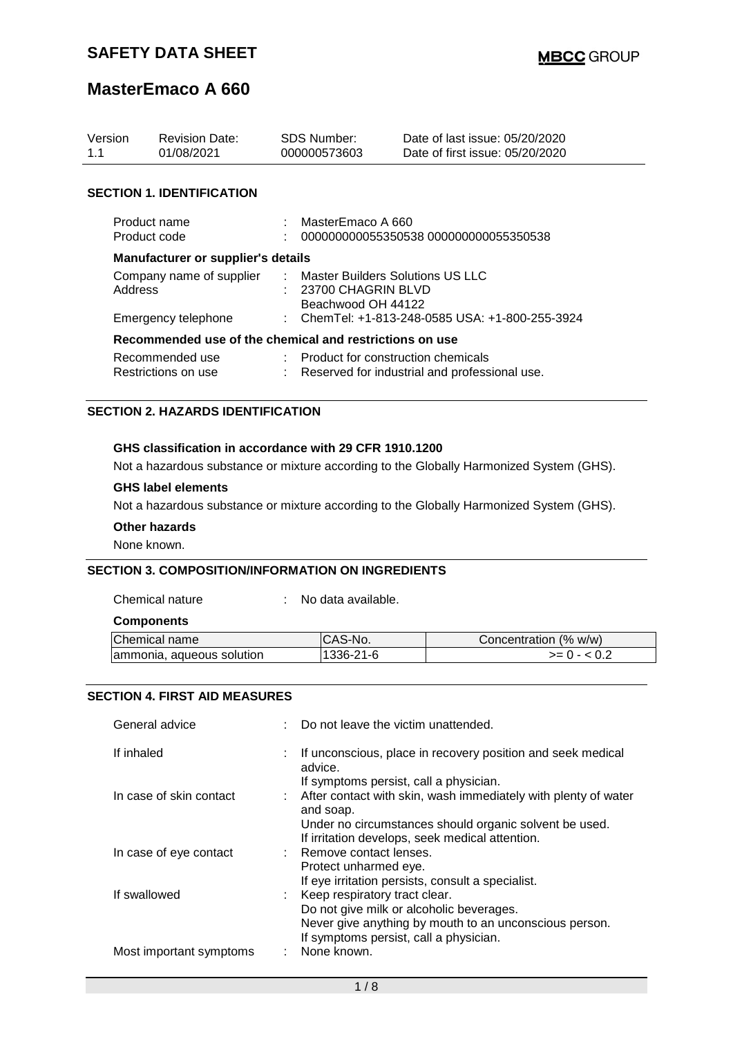| Version<br>1.1                            | <b>Revision Date:</b><br>01/08/2021                     | <b>SDS Number:</b><br>000000573603                                             | Date of last issue: 05/20/2020<br>Date of first issue: 05/20/2020 |  |  |
|-------------------------------------------|---------------------------------------------------------|--------------------------------------------------------------------------------|-------------------------------------------------------------------|--|--|
| <b>SECTION 1. IDENTIFICATION</b>          |                                                         |                                                                                |                                                                   |  |  |
| Product name<br>Product code              |                                                         | MasterEmaco A 660<br>000000000055350538 000000000055350538                     |                                                                   |  |  |
| <b>Manufacturer or supplier's details</b> |                                                         |                                                                                |                                                                   |  |  |
| Company name of supplier<br>Address       |                                                         | : Master Builders Solutions US LLC<br>23700 CHAGRIN BLVD<br>Beachwood OH 44122 |                                                                   |  |  |
| Emergency telephone                       |                                                         | : ChemTel: +1-813-248-0585 USA: +1-800-255-3924                                |                                                                   |  |  |
|                                           | Recommended use of the chemical and restrictions on use |                                                                                |                                                                   |  |  |
| Recommended use<br>Restrictions on use    |                                                         | $\therefore$ Product for construction chemicals                                | Reserved for industrial and professional use.                     |  |  |

### **SECTION 2. HAZARDS IDENTIFICATION**

#### **GHS classification in accordance with 29 CFR 1910.1200**

Not a hazardous substance or mixture according to the Globally Harmonized System (GHS).

#### **GHS label elements**

Not a hazardous substance or mixture according to the Globally Harmonized System (GHS).

#### **Other hazards**

None known.

### **SECTION 3. COMPOSITION/INFORMATION ON INGREDIENTS**

Chemical nature : No data available.

### **Components**

| Chemical name             | ICAS-No.  | Concentration (% w/w) |
|---------------------------|-----------|-----------------------|
| ammonia, aqueous solution | 1336-21-6 | >= () - <             |

### **SECTION 4. FIRST AID MEASURES**

| General advice          | Do not leave the victim unattended.                                                                                              |
|-------------------------|----------------------------------------------------------------------------------------------------------------------------------|
| If inhaled              | : If unconscious, place in recovery position and seek medical<br>advice.                                                         |
| In case of skin contact | If symptoms persist, call a physician.<br>: After contact with skin, wash immediately with plenty of water<br>and soap.          |
|                         | Under no circumstances should organic solvent be used.<br>If irritation develops, seek medical attention.                        |
| In case of eye contact  | : Remove contact lenses.<br>Protect unharmed eye.                                                                                |
| If swallowed            | If eye irritation persists, consult a specialist.<br>: Keep respiratory tract clear.<br>Do not give milk or alcoholic beverages. |
| Most important symptoms | Never give anything by mouth to an unconscious person.<br>If symptoms persist, call a physician.<br>: None known.                |
|                         |                                                                                                                                  |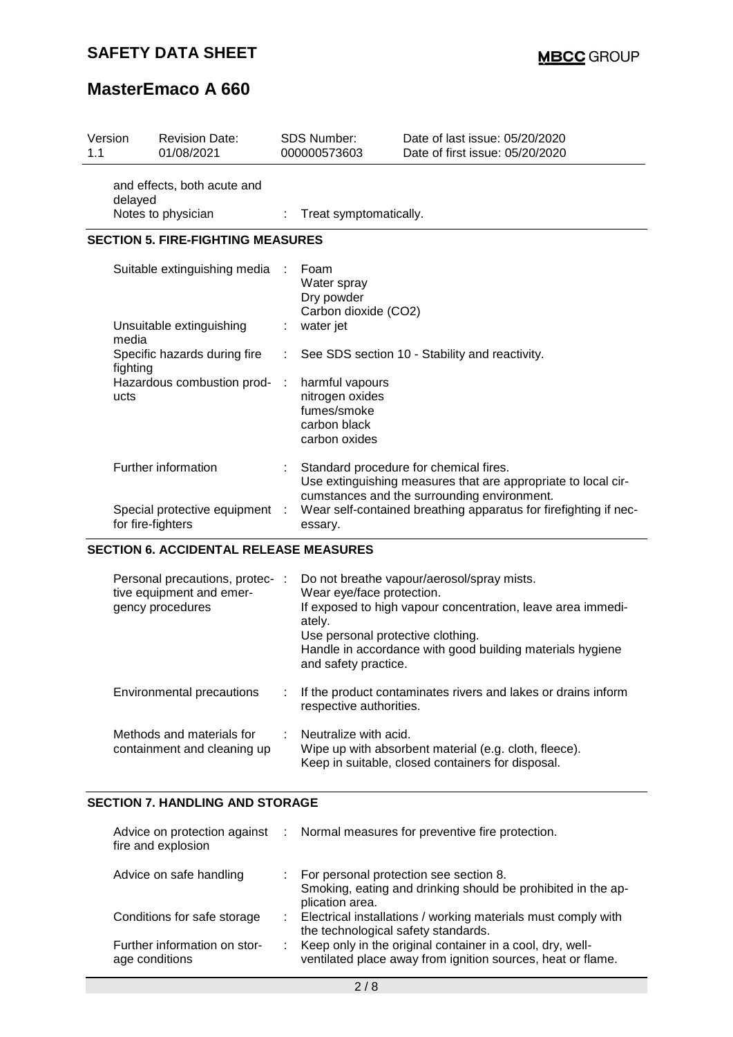## **SAFETY DATA SHEET**

# **MasterEmaco A 660**

| 1.1 | Version                                       | <b>Revision Date:</b><br>01/08/2021                                             |           | SDS Number:<br>000000573603                                                                                                                                                                                                           | Date of last issue: 05/20/2020<br>Date of first issue: 05/20/2020                                                                                                      |  |
|-----|-----------------------------------------------|---------------------------------------------------------------------------------|-----------|---------------------------------------------------------------------------------------------------------------------------------------------------------------------------------------------------------------------------------------|------------------------------------------------------------------------------------------------------------------------------------------------------------------------|--|
|     | delayed                                       | and effects, both acute and<br>Notes to physician                               |           | Treat symptomatically.                                                                                                                                                                                                                |                                                                                                                                                                        |  |
|     |                                               | <b>SECTION 5. FIRE-FIGHTING MEASURES</b>                                        |           |                                                                                                                                                                                                                                       |                                                                                                                                                                        |  |
|     |                                               | Suitable extinguishing media                                                    |           | Foam<br>Water spray<br>Dry powder<br>Carbon dioxide (CO2)                                                                                                                                                                             |                                                                                                                                                                        |  |
|     | media                                         | Unsuitable extinguishing                                                        |           | water jet                                                                                                                                                                                                                             |                                                                                                                                                                        |  |
|     | fighting                                      | Specific hazards during fire                                                    | ÷         |                                                                                                                                                                                                                                       | See SDS section 10 - Stability and reactivity.                                                                                                                         |  |
|     | ucts                                          | Hazardous combustion prod-                                                      | $\cdot$ : | harmful vapours<br>nitrogen oxides<br>fumes/smoke<br>carbon black<br>carbon oxides                                                                                                                                                    |                                                                                                                                                                        |  |
|     |                                               | Further information<br>Special protective equipment :<br>for fire-fighters      |           | Standard procedure for chemical fires.<br>Use extinguishing measures that are appropriate to local cir-<br>cumstances and the surrounding environment.<br>Wear self-contained breathing apparatus for firefighting if nec-<br>essary. |                                                                                                                                                                        |  |
|     | <b>SECTION 6. ACCIDENTAL RELEASE MEASURES</b> |                                                                                 |           |                                                                                                                                                                                                                                       |                                                                                                                                                                        |  |
|     |                                               | Personal precautions, protec- :<br>tive equipment and emer-<br>gency procedures |           | Wear eye/face protection.<br>ately.<br>Use personal protective clothing.<br>and safety practice.                                                                                                                                      | Do not breathe vapour/aerosol/spray mists.<br>If exposed to high vapour concentration, leave area immedi-<br>Handle in accordance with good building materials hygiene |  |
|     |                                               | <b>Environmental precautions</b>                                                | ÷         | If the product contaminates rivers and lakes or drains inform<br>respective authorities.                                                                                                                                              |                                                                                                                                                                        |  |
|     |                                               | Methods and materials for<br>containment and cleaning up                        | ÷         | Neutralize with acid.<br>Wipe up with absorbent material (e.g. cloth, fleece).<br>Keep in suitable, closed containers for disposal.                                                                                                   |                                                                                                                                                                        |  |

# **SECTION 7. HANDLING AND STORAGE**

| fire and explosion                             | Advice on protection against : Normal measures for preventive fire protection.                                              |
|------------------------------------------------|-----------------------------------------------------------------------------------------------------------------------------|
| Advice on safe handling                        | : For personal protection see section 8.<br>Smoking, eating and drinking should be prohibited in the ap-<br>plication area. |
| Conditions for safe storage                    | : Electrical installations / working materials must comply with<br>the technological safety standards.                      |
| Further information on stor-<br>age conditions | Keep only in the original container in a cool, dry, well-<br>ventilated place away from ignition sources, heat or flame.    |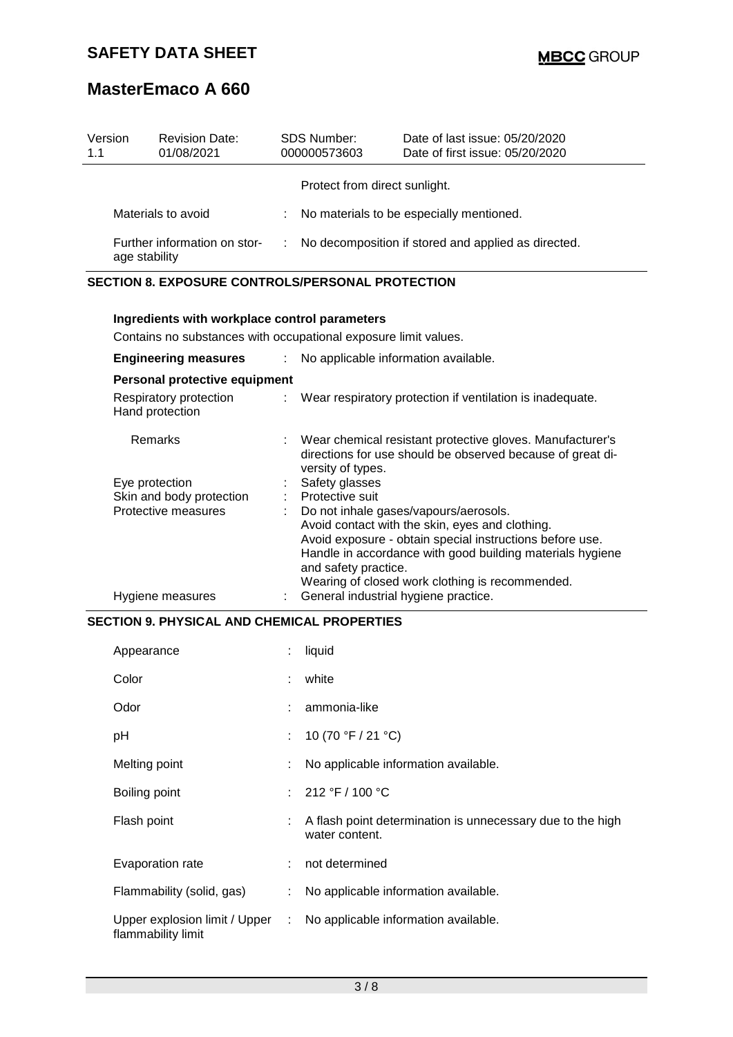| Version<br>1.1                                | <b>Revision Date:</b><br>01/08/2021 |    | <b>SDS Number:</b><br>000000573603 | Date of last issue: 05/20/2020<br>Date of first issue: 05/20/2020 |
|-----------------------------------------------|-------------------------------------|----|------------------------------------|-------------------------------------------------------------------|
|                                               |                                     |    | Protect from direct sunlight.      |                                                                   |
| Materials to avoid                            |                                     | ÷. |                                    | No materials to be especially mentioned.                          |
| Further information on stor-<br>age stability |                                     |    |                                    | No decomposition if stored and applied as directed.               |

## **SECTION 8. EXPOSURE CONTROLS/PERSONAL PROTECTION**

| Ingredients with workplace control parameters |                                                                                                   |                                                                                                                                                                                                                                                                                              |  |  |  |
|-----------------------------------------------|---------------------------------------------------------------------------------------------------|----------------------------------------------------------------------------------------------------------------------------------------------------------------------------------------------------------------------------------------------------------------------------------------------|--|--|--|
|                                               |                                                                                                   | Contains no substances with occupational exposure limit values.                                                                                                                                                                                                                              |  |  |  |
|                                               | <b>Engineering measures</b><br>No applicable information available.<br>$\mathcal{L}^{\text{max}}$ |                                                                                                                                                                                                                                                                                              |  |  |  |
| Personal protective equipment                 |                                                                                                   |                                                                                                                                                                                                                                                                                              |  |  |  |
| Respiratory protection<br>Hand protection     |                                                                                                   | : Wear respiratory protection if ventilation is inadequate.                                                                                                                                                                                                                                  |  |  |  |
| <b>Remarks</b>                                |                                                                                                   | Wear chemical resistant protective gloves. Manufacturer's<br>directions for use should be observed because of great di-<br>versity of types.                                                                                                                                                 |  |  |  |
| Eye protection                                |                                                                                                   | Safety glasses                                                                                                                                                                                                                                                                               |  |  |  |
| Skin and body protection                      |                                                                                                   | : Protective suit                                                                                                                                                                                                                                                                            |  |  |  |
| Protective measures                           |                                                                                                   | Do not inhale gases/vapours/aerosols.<br>Avoid contact with the skin, eyes and clothing.<br>Avoid exposure - obtain special instructions before use.<br>Handle in accordance with good building materials hygiene<br>and safety practice.<br>Wearing of closed work clothing is recommended. |  |  |  |
| Hygiene measures                              |                                                                                                   | General industrial hygiene practice.                                                                                                                                                                                                                                                         |  |  |  |

## **SECTION 9. PHYSICAL AND CHEMICAL PROPERTIES**

| Appearance                                          |      | liquid                                                                       |
|-----------------------------------------------------|------|------------------------------------------------------------------------------|
| Color                                               |      | white                                                                        |
| Odor                                                |      | ammonia-like                                                                 |
| рH                                                  | ÷.   | 10 (70 °F / 21 °C)                                                           |
| Melting point                                       |      | No applicable information available.                                         |
| Boiling point                                       |      | : $212 °F / 100 °C$                                                          |
| Flash point                                         |      | A flash point determination is unnecessary due to the high<br>water content. |
| Evaporation rate                                    |      | not determined                                                               |
| Flammability (solid, gas)                           | ÷.   | No applicable information available.                                         |
| Upper explosion limit / Upper<br>flammability limit | di l | No applicable information available.                                         |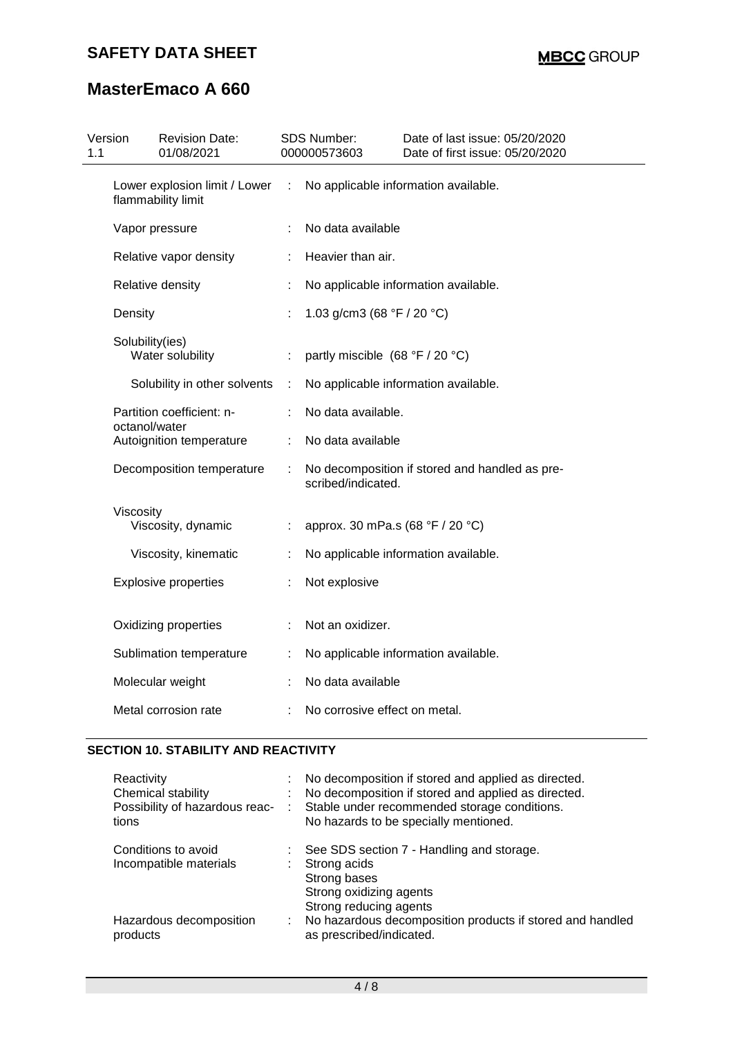| Version                                             | <b>Revision Date:</b><br>01/08/2021 |                                                                                                                                                                                                                                                                                                                                                      |                              | Date of last issue: 05/20/2020<br>Date of first issue: 05/20/2020                                                                                                                                                                                                         |  |
|-----------------------------------------------------|-------------------------------------|------------------------------------------------------------------------------------------------------------------------------------------------------------------------------------------------------------------------------------------------------------------------------------------------------------------------------------------------------|------------------------------|---------------------------------------------------------------------------------------------------------------------------------------------------------------------------------------------------------------------------------------------------------------------------|--|
| Lower explosion limit / Lower<br>flammability limit |                                     | ÷                                                                                                                                                                                                                                                                                                                                                    |                              | No applicable information available.                                                                                                                                                                                                                                      |  |
|                                                     |                                     |                                                                                                                                                                                                                                                                                                                                                      | No data available            |                                                                                                                                                                                                                                                                           |  |
|                                                     |                                     |                                                                                                                                                                                                                                                                                                                                                      | Heavier than air.            |                                                                                                                                                                                                                                                                           |  |
|                                                     |                                     |                                                                                                                                                                                                                                                                                                                                                      |                              | No applicable information available.                                                                                                                                                                                                                                      |  |
|                                                     |                                     |                                                                                                                                                                                                                                                                                                                                                      |                              |                                                                                                                                                                                                                                                                           |  |
|                                                     |                                     | ÷                                                                                                                                                                                                                                                                                                                                                    |                              |                                                                                                                                                                                                                                                                           |  |
|                                                     |                                     | ÷                                                                                                                                                                                                                                                                                                                                                    |                              | No applicable information available.                                                                                                                                                                                                                                      |  |
| Partition coefficient: n-                           |                                     | ÷                                                                                                                                                                                                                                                                                                                                                    |                              |                                                                                                                                                                                                                                                                           |  |
|                                                     |                                     | ÷                                                                                                                                                                                                                                                                                                                                                    |                              |                                                                                                                                                                                                                                                                           |  |
| Decomposition temperature                           |                                     | ÷                                                                                                                                                                                                                                                                                                                                                    |                              | No decomposition if stored and handled as pre-                                                                                                                                                                                                                            |  |
|                                                     |                                     | ÷.                                                                                                                                                                                                                                                                                                                                                   |                              |                                                                                                                                                                                                                                                                           |  |
|                                                     |                                     |                                                                                                                                                                                                                                                                                                                                                      |                              | No applicable information available.                                                                                                                                                                                                                                      |  |
|                                                     |                                     |                                                                                                                                                                                                                                                                                                                                                      | Not explosive                |                                                                                                                                                                                                                                                                           |  |
|                                                     |                                     |                                                                                                                                                                                                                                                                                                                                                      | Not an oxidizer.             |                                                                                                                                                                                                                                                                           |  |
|                                                     |                                     |                                                                                                                                                                                                                                                                                                                                                      |                              | No applicable information available.                                                                                                                                                                                                                                      |  |
|                                                     |                                     |                                                                                                                                                                                                                                                                                                                                                      |                              |                                                                                                                                                                                                                                                                           |  |
|                                                     |                                     |                                                                                                                                                                                                                                                                                                                                                      |                              |                                                                                                                                                                                                                                                                           |  |
|                                                     |                                     | Vapor pressure<br>Relative vapor density<br>Relative density<br>Density<br>Solubility(ies)<br>Water solubility<br>octanol/water<br>Autoignition temperature<br>Viscosity<br>Viscosity, dynamic<br>Viscosity, kinematic<br><b>Explosive properties</b><br>Oxidizing properties<br>Sublimation temperature<br>Molecular weight<br>Metal corrosion rate | Solubility in other solvents | SDS Number:<br>000000573603<br>1.03 g/cm3 (68 $\degree$ F / 20 $\degree$ C)<br>partly miscible (68 °F / 20 °C)<br>No data available.<br>No data available<br>scribed/indicated.<br>approx. 30 mPa.s (68 °F / 20 °C)<br>No data available<br>No corrosive effect on metal. |  |

## **SECTION 10. STABILITY AND REACTIVITY**

| Reactivity<br>Chemical stability<br>Possibility of hazardous reac-<br>tions | ÷  | No decomposition if stored and applied as directed.<br>No decomposition if stored and applied as directed.<br>Stable under recommended storage conditions.<br>No hazards to be specially mentioned. |
|-----------------------------------------------------------------------------|----|-----------------------------------------------------------------------------------------------------------------------------------------------------------------------------------------------------|
| Conditions to avoid<br>Incompatible materials                               |    | See SDS section 7 - Handling and storage.<br>Strong acids<br>Strong bases<br>Strong oxidizing agents<br>Strong reducing agents                                                                      |
| Hazardous decomposition<br>products                                         | ÷. | No hazardous decomposition products if stored and handled<br>as prescribed/indicated.                                                                                                               |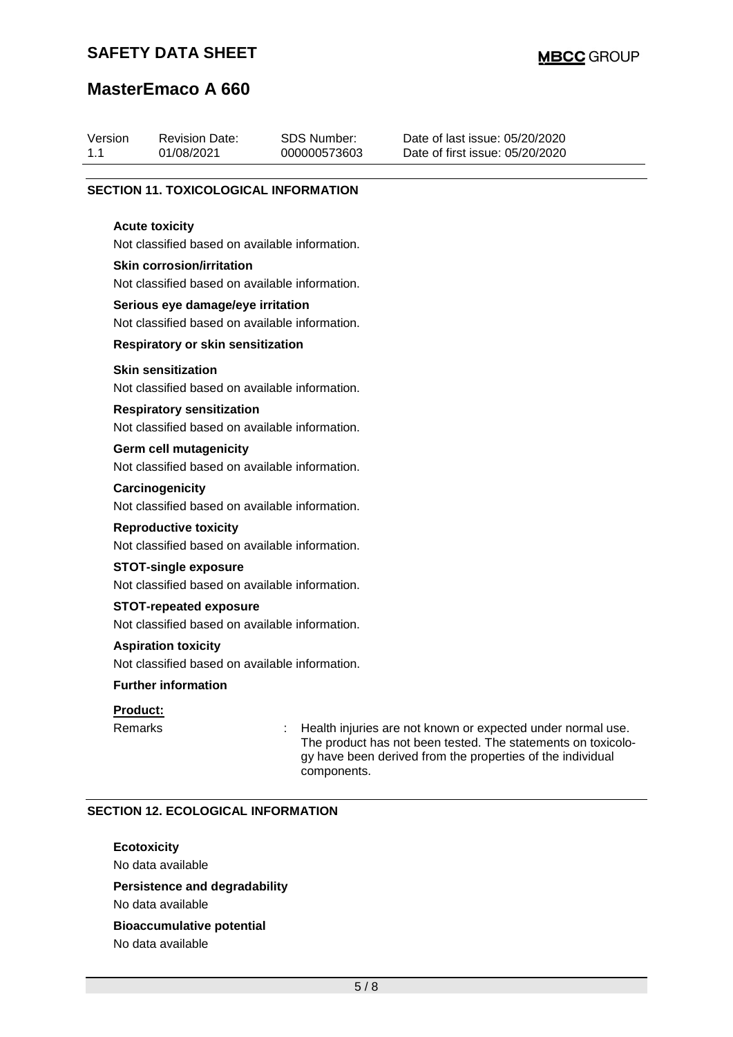## **SAFETY DATA SHEET**

# **MasterEmaco A 660**

| Version<br>1.1 |                                                                                     | <b>Revision Date:</b><br>01/08/2021                                             |  | <b>SDS Number:</b><br>000000573603 | Date of last issue: 05/20/2020<br>Date of first issue: 05/20/2020                                                                                                                         |  |  |  |  |
|----------------|-------------------------------------------------------------------------------------|---------------------------------------------------------------------------------|--|------------------------------------|-------------------------------------------------------------------------------------------------------------------------------------------------------------------------------------------|--|--|--|--|
|                |                                                                                     | <b>SECTION 11. TOXICOLOGICAL INFORMATION</b>                                    |  |                                    |                                                                                                                                                                                           |  |  |  |  |
|                |                                                                                     | <b>Acute toxicity</b><br>Not classified based on available information.         |  |                                    |                                                                                                                                                                                           |  |  |  |  |
|                | <b>Skin corrosion/irritation</b><br>Not classified based on available information.  |                                                                                 |  |                                    |                                                                                                                                                                                           |  |  |  |  |
|                | Serious eye damage/eye irritation<br>Not classified based on available information. |                                                                                 |  |                                    |                                                                                                                                                                                           |  |  |  |  |
|                |                                                                                     | <b>Respiratory or skin sensitization</b>                                        |  |                                    |                                                                                                                                                                                           |  |  |  |  |
|                |                                                                                     | <b>Skin sensitization</b><br>Not classified based on available information.     |  |                                    |                                                                                                                                                                                           |  |  |  |  |
|                | <b>Respiratory sensitization</b><br>Not classified based on available information.  |                                                                                 |  |                                    |                                                                                                                                                                                           |  |  |  |  |
|                |                                                                                     | <b>Germ cell mutagenicity</b><br>Not classified based on available information. |  |                                    |                                                                                                                                                                                           |  |  |  |  |
|                |                                                                                     | Carcinogenicity<br>Not classified based on available information.               |  |                                    |                                                                                                                                                                                           |  |  |  |  |
|                |                                                                                     | <b>Reproductive toxicity</b><br>Not classified based on available information.  |  |                                    |                                                                                                                                                                                           |  |  |  |  |
|                | <b>STOT-single exposure</b><br>Not classified based on available information.       |                                                                                 |  |                                    |                                                                                                                                                                                           |  |  |  |  |
|                | <b>STOT-repeated exposure</b><br>Not classified based on available information.     |                                                                                 |  |                                    |                                                                                                                                                                                           |  |  |  |  |
|                | <b>Aspiration toxicity</b><br>Not classified based on available information.        |                                                                                 |  |                                    |                                                                                                                                                                                           |  |  |  |  |
|                |                                                                                     | <b>Further information</b>                                                      |  |                                    |                                                                                                                                                                                           |  |  |  |  |
|                | Product:                                                                            |                                                                                 |  |                                    |                                                                                                                                                                                           |  |  |  |  |
|                | Remarks                                                                             |                                                                                 |  | components.                        | Health injuries are not known or expected under normal use.<br>The product has not been tested. The statements on toxicolo-<br>gy have been derived from the properties of the individual |  |  |  |  |

### **SECTION 12. ECOLOGICAL INFORMATION**

### **Ecotoxicity**

No data available

# **Persistence and degradability**

No data available

### **Bioaccumulative potential** No data available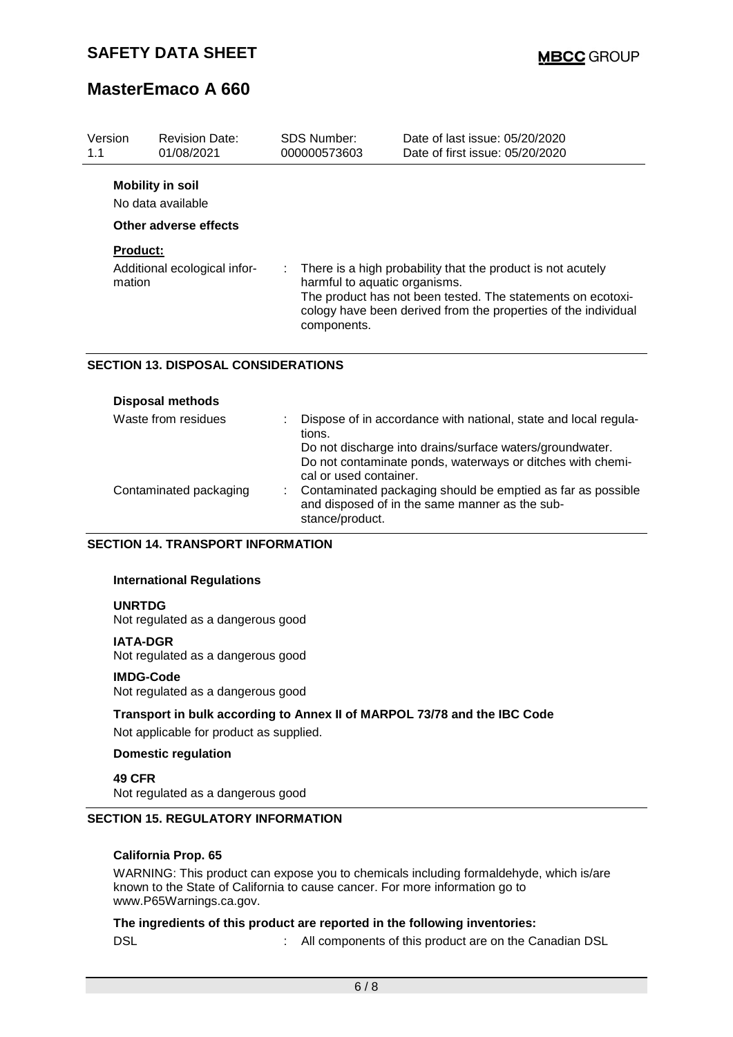| Version                      | <b>Revision Date:</b>                                                 | <b>SDS Number:</b>            | Date of last issue: 05/20/2020                                 |
|------------------------------|-----------------------------------------------------------------------|-------------------------------|----------------------------------------------------------------|
| 1.1                          | 01/08/2021                                                            | 000000573603                  | Date of first issue: 05/20/2020                                |
|                              | <b>Mobility in soil</b><br>No data available<br>Other adverse effects |                               |                                                                |
| <b>Product:</b>              |                                                                       | ÷.                            | There is a high probability that the product is not acutely    |
| Additional ecological infor- |                                                                       | harmful to aquatic organisms. | The product has not been tested. The statements on ecotoxi-    |
| mation                       |                                                                       | components.                   | cology have been derived from the properties of the individual |

### **SECTION 13. DISPOSAL CONSIDERATIONS**

| <b>Disposal methods</b> |                                                                                                                                                  |
|-------------------------|--------------------------------------------------------------------------------------------------------------------------------------------------|
| Waste from residues     | Dispose of in accordance with national, state and local regula-<br>tions.                                                                        |
|                         | Do not discharge into drains/surface waters/groundwater.<br>Do not contaminate ponds, waterways or ditches with chemi-<br>cal or used container. |
| Contaminated packaging  | Contaminated packaging should be emptied as far as possible<br>and disposed of in the same manner as the sub-<br>stance/product.                 |

### **SECTION 14. TRANSPORT INFORMATION**

### **International Regulations**

### **UNRTDG**

Not regulated as a dangerous good

#### **IATA-DGR**

Not regulated as a dangerous good

#### **IMDG-Code**

Not regulated as a dangerous good

**Transport in bulk according to Annex II of MARPOL 73/78 and the IBC Code** Not applicable for product as supplied.

#### **Domestic regulation**

**49 CFR** Not regulated as a dangerous good

### **SECTION 15. REGULATORY INFORMATION**

### **California Prop. 65**

WARNING: This product can expose you to chemicals including formaldehyde, which is/are known to the State of California to cause cancer. For more information go to www.P65Warnings.ca.gov.

## **The ingredients of this product are reported in the following inventories:**

DSL **Internal Components** of this product are on the Canadian DSL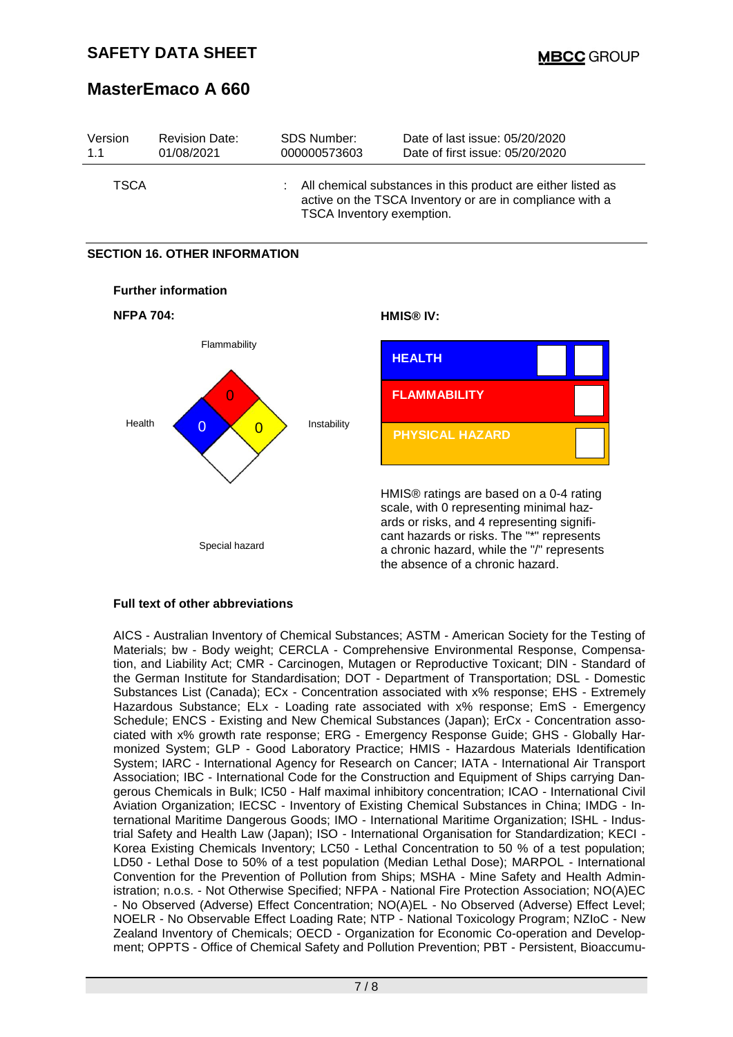| Version     | <b>Revision Date:</b> | SDS Number:               | Date of last issue: 05/20/2020                                                                                             |
|-------------|-----------------------|---------------------------|----------------------------------------------------------------------------------------------------------------------------|
| 1.1         | 01/08/2021            | 000000573603              | Date of first issue: 05/20/2020                                                                                            |
| <b>TSCA</b> |                       | TSCA Inventory exemption. | : All chemical substances in this product are either listed as<br>active on the TSCA Inventory or are in compliance with a |

### **SECTION 16. OTHER INFORMATION**



### **Full text of other abbreviations**

AICS - Australian Inventory of Chemical Substances; ASTM - American Society for the Testing of Materials; bw - Body weight; CERCLA - Comprehensive Environmental Response, Compensation, and Liability Act; CMR - Carcinogen, Mutagen or Reproductive Toxicant; DIN - Standard of the German Institute for Standardisation; DOT - Department of Transportation; DSL - Domestic Substances List (Canada); ECx - Concentration associated with x% response; EHS - Extremely Hazardous Substance; ELx - Loading rate associated with x% response; EmS - Emergency Schedule; ENCS - Existing and New Chemical Substances (Japan); ErCx - Concentration associated with x% growth rate response; ERG - Emergency Response Guide; GHS - Globally Harmonized System; GLP - Good Laboratory Practice; HMIS - Hazardous Materials Identification System; IARC - International Agency for Research on Cancer; IATA - International Air Transport Association; IBC - International Code for the Construction and Equipment of Ships carrying Dangerous Chemicals in Bulk; IC50 - Half maximal inhibitory concentration; ICAO - International Civil Aviation Organization; IECSC - Inventory of Existing Chemical Substances in China; IMDG - International Maritime Dangerous Goods; IMO - International Maritime Organization; ISHL - Industrial Safety and Health Law (Japan); ISO - International Organisation for Standardization; KECI - Korea Existing Chemicals Inventory; LC50 - Lethal Concentration to 50 % of a test population; LD50 - Lethal Dose to 50% of a test population (Median Lethal Dose); MARPOL - International Convention for the Prevention of Pollution from Ships; MSHA - Mine Safety and Health Administration; n.o.s. - Not Otherwise Specified; NFPA - National Fire Protection Association; NO(A)EC - No Observed (Adverse) Effect Concentration; NO(A)EL - No Observed (Adverse) Effect Level; NOELR - No Observable Effect Loading Rate; NTP - National Toxicology Program; NZIoC - New Zealand Inventory of Chemicals; OECD - Organization for Economic Co-operation and Development; OPPTS - Office of Chemical Safety and Pollution Prevention; PBT - Persistent, Bioaccumu-